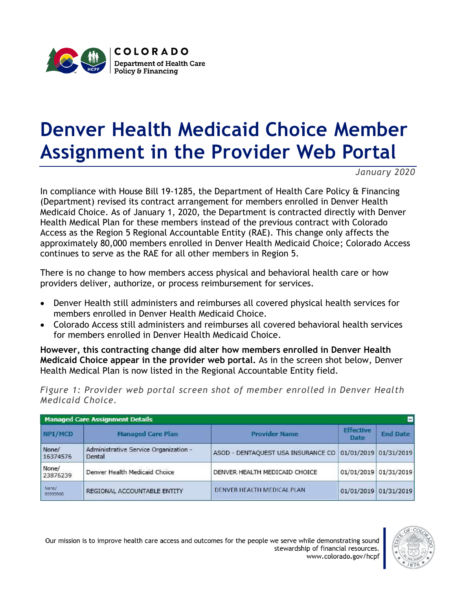

## **Denver Health Medicaid Choice Member Assignment in the Provider Web Portal**

*January 2020*

In compliance with House Bill 19-1285, the Department of Health Care Policy & Financing (Department) revised its contract arrangement for members enrolled in Denver Health Medicaid Choice. As of January 1, 2020, the Department is contracted directly with Denver Health Medical Plan for these members instead of the previous contract with Colorado Access as the Region 5 Regional Accountable Entity (RAE). This change only affects the approximately 80,000 members enrolled in Denver Health Medicaid Choice; Colorado Access continues to serve as the RAE for all other members in Region 5.

There is no change to how members access physical and behavioral health care or how providers deliver, authorize, or process reimbursement for services.

- Denver Health still administers and reimburses all covered physical health services for members enrolled in Denver Health Medicaid Choice.
- Colorado Access still administers and reimburses all covered behavioral health services for members enrolled in Denver Health Medicaid Choice.

**However, this contracting change did alter how members enrolled in Denver Health Medicaid Choice appear in the provider web portal.** As in the screen shot below, Denver Health Medical Plan is now listed in the Regional Accountable Entity field.

*Figure 1: Provider web portal screen shot of member enrolled in Denver Health Medicaid Choice.*

| <b>Managed Care Assignment Details</b> |                                                 |                                                          |                                 | Е                     |
|----------------------------------------|-------------------------------------------------|----------------------------------------------------------|---------------------------------|-----------------------|
| NPI/MCD                                | <b>Managed Care Plan</b>                        | <b>Provider Name</b>                                     | <b>Effective</b><br><b>Date</b> | <b>End Date</b>       |
| None/<br>16374576                      | Administrative Service Organization -<br>Dental | ASOD - DENTAQUEST USA INSURANCE CO 01/01/2019 01/31/2019 |                                 |                       |
| None/<br>23876239                      | Denver Health Medicaid Choice                   | DENVER HEALTH MEDICAID CHOICE                            |                                 | 01/01/2019 01/31/2019 |
| None/<br>99999908                      | REGIONAL ACCOUNTABLE ENTITY                     | DENVER HEALTH MEDICAL PLAN                               |                                 | 01/01/2019 01/31/2019 |

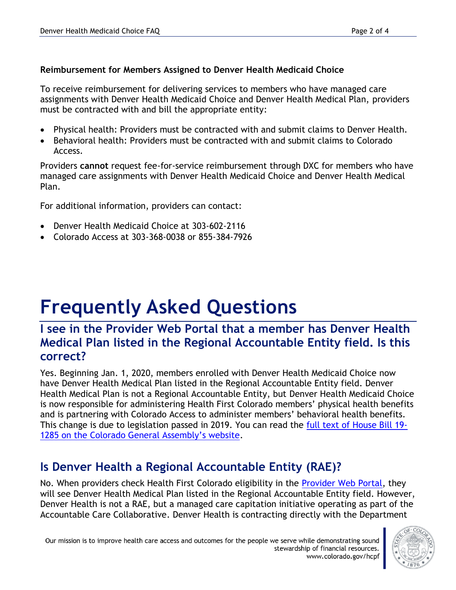#### **Reimbursement for Members Assigned to Denver Health Medicaid Choice**

To receive reimbursement for delivering services to members who have managed care assignments with Denver Health Medicaid Choice and Denver Health Medical Plan, providers must be contracted with and bill the appropriate entity:

- Physical health: Providers must be contracted with and submit claims to Denver Health.
- Behavioral health: Providers must be contracted with and submit claims to Colorado Access.

Providers **cannot** request fee-for-service reimbursement through DXC for members who have managed care assignments with Denver Health Medicaid Choice and Denver Health Medical Plan.

For additional information, providers can contact:

- Denver Health Medicaid Choice at 303-602-2116
- Colorado Access at 303-368-0038 or 855-384-7926

# **Frequently Asked Questions**

#### **I see in the Provider Web Portal that a member has Denver Health Medical Plan listed in the Regional Accountable Entity field. Is this correct?**

Yes. Beginning Jan. 1, 2020, members enrolled with Denver Health Medicaid Choice now have Denver Health Medical Plan listed in the Regional Accountable Entity field. Denver Health Medical Plan is not a Regional Accountable Entity, but Denver Health Medicaid Choice is now responsible for administering Health First Colorado members' physical health benefits and is partnering with Colorado Access to administer members' behavioral health benefits. This change is due to legislation passed in 2019. You can read the [full text of House Bill 19-](https://leg.colorado.gov/bills/hb19-1285) [1285 on the Colorado General Assembly's website](https://leg.colorado.gov/bills/hb19-1285).

### **Is Denver Health a Regional Accountable Entity (RAE)?**

No. When providers check Health First Colorado eligibility in the [Provider Web Portal,](https://colorado-hcp-portal.xco.dcs-usps.com/hcp/provider/Home/tabid/135/Default.aspx) they will see Denver Health Medical Plan listed in the Regional Accountable Entity field. However, Denver Health is not a RAE, but a managed care capitation initiative operating as part of the Accountable Care Collaborative. Denver Health is contracting directly with the Department

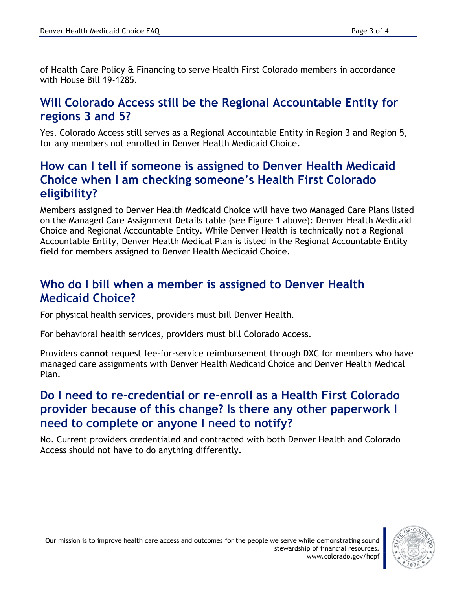of Health Care Policy & Financing to serve Health First Colorado members in accordance with House Bill 19-1285.

#### **Will Colorado Access still be the Regional Accountable Entity for regions 3 and 5?**

Yes. Colorado Access still serves as a Regional Accountable Entity in Region 3 and Region 5, for any members not enrolled in Denver Health Medicaid Choice.

#### **How can I tell if someone is assigned to Denver Health Medicaid Choice when I am checking someone's Health First Colorado eligibility?**

Members assigned to Denver Health Medicaid Choice will have two Managed Care Plans listed on the Managed Care Assignment Details table (see Figure 1 above): Denver Health Medicaid Choice and Regional Accountable Entity. While Denver Health is technically not a Regional Accountable Entity, Denver Health Medical Plan is listed in the Regional Accountable Entity field for members assigned to Denver Health Medicaid Choice.

#### **Who do I bill when a member is assigned to Denver Health Medicaid Choice?**

For physical health services, providers must bill Denver Health.

For behavioral health services, providers must bill Colorado Access.

Providers **cannot** request fee-for-service reimbursement through DXC for members who have managed care assignments with Denver Health Medicaid Choice and Denver Health Medical Plan.

#### **Do I need to re-credential or re-enroll as a Health First Colorado provider because of this change? Is there any other paperwork I need to complete or anyone I need to notify?**

No. Current providers credentialed and contracted with both Denver Health and Colorado Access should not have to do anything differently.